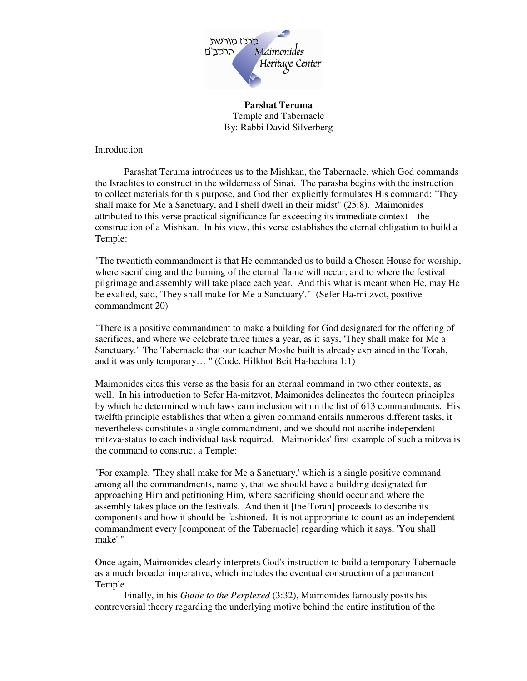

**Parshat Teruma**  Temple and Tabernacle By: Rabbi David Silverberg

Introduction

 Parashat Teruma introduces us to the Mishkan, the Tabernacle, which God commands the Israelites to construct in the wilderness of Sinai. The parasha begins with the instruction to collect materials for this purpose, and God then explicitly formulates His command: "They shall make for Me a Sanctuary, and I shell dwell in their midst" (25:8). Maimonides attributed to this verse practical significance far exceeding its immediate context – the construction of a Mishkan. In his view, this verse establishes the eternal obligation to build a Temple:

"The twentieth commandment is that He commanded us to build a Chosen House for worship, where sacrificing and the burning of the eternal flame will occur, and to where the festival pilgrimage and assembly will take place each year. And this what is meant when He, may He be exalted, said, 'They shall make for Me a Sanctuary'." (Sefer Ha-mitzvot, positive commandment 20)

"There is a positive commandment to make a building for God designated for the offering of sacrifices, and where we celebrate three times a year, as it says, 'They shall make for Me a Sanctuary.' The Tabernacle that our teacher Moshe built is already explained in the Torah, and it was only temporary… " (Code, Hilkhot Beit Ha-bechira 1:1)

Maimonides cites this verse as the basis for an eternal command in two other contexts, as well. In his introduction to Sefer Ha-mitzvot, Maimonides delineates the fourteen principles by which he determined which laws earn inclusion within the list of 613 commandments. His twelfth principle establishes that when a given command entails numerous different tasks, it nevertheless constitutes a single commandment, and we should not ascribe independent mitzva-status to each individual task required. Maimonides' first example of such a mitzva is the command to construct a Temple:

"For example, 'They shall make for Me a Sanctuary,' which is a single positive command among all the commandments, namely, that we should have a building designated for approaching Him and petitioning Him, where sacrificing should occur and where the assembly takes place on the festivals. And then it [the Torah] proceeds to describe its components and how it should be fashioned. It is not appropriate to count as an independent commandment every [component of the Tabernacle] regarding which it says, 'You shall make'."

Once again, Maimonides clearly interprets God's instruction to build a temporary Tabernacle as a much broader imperative, which includes the eventual construction of a permanent Temple.

 Finally, in his *Guide to the Perplexed* (3:32), Maimonides famously posits his controversial theory regarding the underlying motive behind the entire institution of the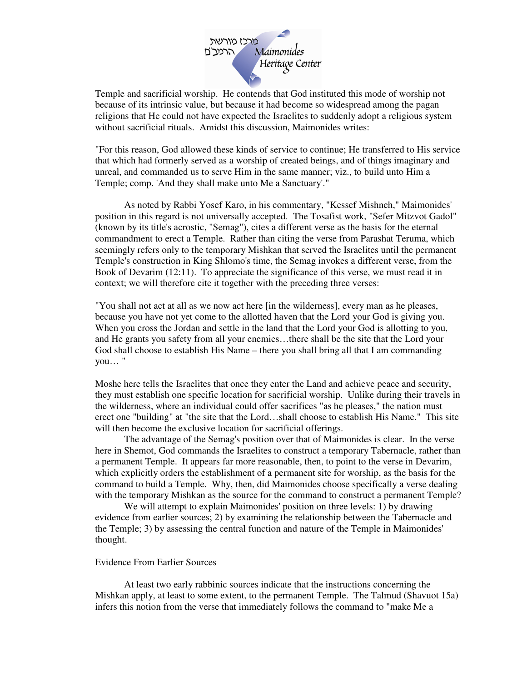

Temple and sacrificial worship. He contends that God instituted this mode of worship not because of its intrinsic value, but because it had become so widespread among the pagan religions that He could not have expected the Israelites to suddenly adopt a religious system without sacrificial rituals. Amidst this discussion, Maimonides writes:

"For this reason, God allowed these kinds of service to continue; He transferred to His service that which had formerly served as a worship of created beings, and of things imaginary and unreal, and commanded us to serve Him in the same manner; viz., to build unto Him a Temple; comp. 'And they shall make unto Me a Sanctuary'."

 As noted by Rabbi Yosef Karo, in his commentary, "Kessef Mishneh," Maimonides' position in this regard is not universally accepted. The Tosafist work, "Sefer Mitzvot Gadol" (known by its title's acrostic, "Semag"), cites a different verse as the basis for the eternal commandment to erect a Temple. Rather than citing the verse from Parashat Teruma, which seemingly refers only to the temporary Mishkan that served the Israelites until the permanent Temple's construction in King Shlomo's time, the Semag invokes a different verse, from the Book of Devarim (12:11). To appreciate the significance of this verse, we must read it in context; we will therefore cite it together with the preceding three verses:

"You shall not act at all as we now act here [in the wilderness], every man as he pleases, because you have not yet come to the allotted haven that the Lord your God is giving you. When you cross the Jordan and settle in the land that the Lord your God is allotting to you, and He grants you safety from all your enemies…there shall be the site that the Lord your God shall choose to establish His Name – there you shall bring all that I am commanding you… "

Moshe here tells the Israelites that once they enter the Land and achieve peace and security, they must establish one specific location for sacrificial worship. Unlike during their travels in the wilderness, where an individual could offer sacrifices "as he pleases," the nation must erect one "building" at "the site that the Lord…shall choose to establish His Name." This site will then become the exclusive location for sacrificial offerings.

 The advantage of the Semag's position over that of Maimonides is clear. In the verse here in Shemot, God commands the Israelites to construct a temporary Tabernacle, rather than a permanent Temple. It appears far more reasonable, then, to point to the verse in Devarim, which explicitly orders the establishment of a permanent site for worship, as the basis for the command to build a Temple. Why, then, did Maimonides choose specifically a verse dealing with the temporary Mishkan as the source for the command to construct a permanent Temple?

 We will attempt to explain Maimonides' position on three levels: 1) by drawing evidence from earlier sources; 2) by examining the relationship between the Tabernacle and the Temple; 3) by assessing the central function and nature of the Temple in Maimonides' thought.

## Evidence From Earlier Sources

 At least two early rabbinic sources indicate that the instructions concerning the Mishkan apply, at least to some extent, to the permanent Temple. The Talmud (Shavuot 15a) infers this notion from the verse that immediately follows the command to "make Me a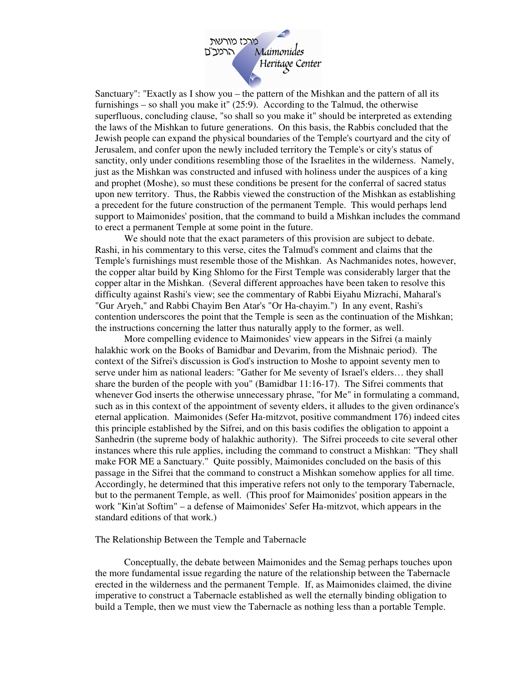

Sanctuary": "Exactly as I show you – the pattern of the Mishkan and the pattern of all its furnishings – so shall you make it" (25:9). According to the Talmud, the otherwise superfluous, concluding clause, "so shall so you make it" should be interpreted as extending the laws of the Mishkan to future generations. On this basis, the Rabbis concluded that the Jewish people can expand the physical boundaries of the Temple's courtyard and the city of Jerusalem, and confer upon the newly included territory the Temple's or city's status of sanctity, only under conditions resembling those of the Israelites in the wilderness. Namely, just as the Mishkan was constructed and infused with holiness under the auspices of a king and prophet (Moshe), so must these conditions be present for the conferral of sacred status upon new territory. Thus, the Rabbis viewed the construction of the Mishkan as establishing a precedent for the future construction of the permanent Temple. This would perhaps lend support to Maimonides' position, that the command to build a Mishkan includes the command to erect a permanent Temple at some point in the future.

 We should note that the exact parameters of this provision are subject to debate. Rashi, in his commentary to this verse, cites the Talmud's comment and claims that the Temple's furnishings must resemble those of the Mishkan. As Nachmanides notes, however, the copper altar build by King Shlomo for the First Temple was considerably larger that the copper altar in the Mishkan. (Several different approaches have been taken to resolve this difficulty against Rashi's view; see the commentary of Rabbi Eiyahu Mizrachi, Maharal's "Gur Aryeh," and Rabbi Chayim Ben Atar's "Or Ha-chayim.") In any event, Rashi's contention underscores the point that the Temple is seen as the continuation of the Mishkan; the instructions concerning the latter thus naturally apply to the former, as well.

 More compelling evidence to Maimonides' view appears in the Sifrei (a mainly halakhic work on the Books of Bamidbar and Devarim, from the Mishnaic period). The context of the Sifrei's discussion is God's instruction to Moshe to appoint seventy men to serve under him as national leaders: "Gather for Me seventy of Israel's elders… they shall share the burden of the people with you" (Bamidbar 11:16-17). The Sifrei comments that whenever God inserts the otherwise unnecessary phrase, "for Me" in formulating a command, such as in this context of the appointment of seventy elders, it alludes to the given ordinance's eternal application. Maimonides (Sefer Ha-mitzvot, positive commandment 176) indeed cites this principle established by the Sifrei, and on this basis codifies the obligation to appoint a Sanhedrin (the supreme body of halakhic authority). The Sifrei proceeds to cite several other instances where this rule applies, including the command to construct a Mishkan: "They shall make FOR ME a Sanctuary." Quite possibly, Maimonides concluded on the basis of this passage in the Sifrei that the command to construct a Mishkan somehow applies for all time. Accordingly, he determined that this imperative refers not only to the temporary Tabernacle, but to the permanent Temple, as well. (This proof for Maimonides' position appears in the work "Kin'at Softim" – a defense of Maimonides' Sefer Ha-mitzvot, which appears in the standard editions of that work.)

## The Relationship Between the Temple and Tabernacle

 Conceptually, the debate between Maimonides and the Semag perhaps touches upon the more fundamental issue regarding the nature of the relationship between the Tabernacle erected in the wilderness and the permanent Temple. If, as Maimonides claimed, the divine imperative to construct a Tabernacle established as well the eternally binding obligation to build a Temple, then we must view the Tabernacle as nothing less than a portable Temple.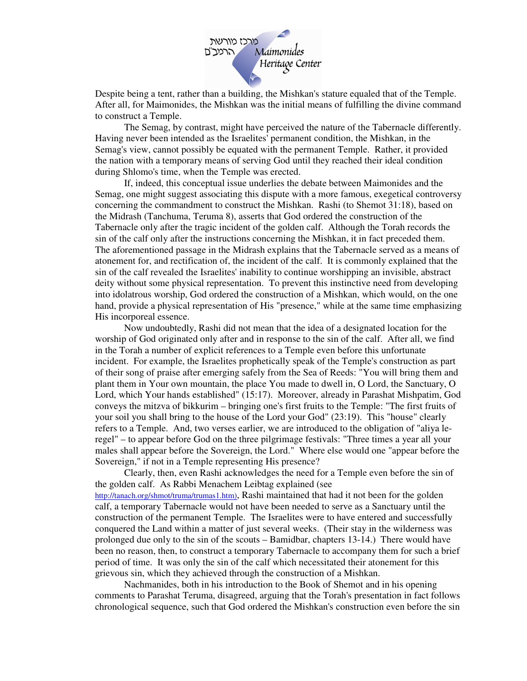

Despite being a tent, rather than a building, the Mishkan's stature equaled that of the Temple. After all, for Maimonides, the Mishkan was the initial means of fulfilling the divine command to construct a Temple.

 The Semag, by contrast, might have perceived the nature of the Tabernacle differently. Having never been intended as the Israelites' permanent condition, the Mishkan, in the Semag's view, cannot possibly be equated with the permanent Temple. Rather, it provided the nation with a temporary means of serving God until they reached their ideal condition during Shlomo's time, when the Temple was erected.

 If, indeed, this conceptual issue underlies the debate between Maimonides and the Semag, one might suggest associating this dispute with a more famous, exegetical controversy concerning the commandment to construct the Mishkan. Rashi (to Shemot 31:18), based on the Midrash (Tanchuma, Teruma 8), asserts that God ordered the construction of the Tabernacle only after the tragic incident of the golden calf. Although the Torah records the sin of the calf only after the instructions concerning the Mishkan, it in fact preceded them. The aforementioned passage in the Midrash explains that the Tabernacle served as a means of atonement for, and rectification of, the incident of the calf. It is commonly explained that the sin of the calf revealed the Israelites' inability to continue worshipping an invisible, abstract deity without some physical representation. To prevent this instinctive need from developing into idolatrous worship, God ordered the construction of a Mishkan, which would, on the one hand, provide a physical representation of His "presence," while at the same time emphasizing His incorporeal essence.

 Now undoubtedly, Rashi did not mean that the idea of a designated location for the worship of God originated only after and in response to the sin of the calf. After all, we find in the Torah a number of explicit references to a Temple even before this unfortunate incident. For example, the Israelites prophetically speak of the Temple's construction as part of their song of praise after emerging safely from the Sea of Reeds: "You will bring them and plant them in Your own mountain, the place You made to dwell in, O Lord, the Sanctuary, O Lord, which Your hands established" (15:17). Moreover, already in Parashat Mishpatim, God conveys the mitzva of bikkurim – bringing one's first fruits to the Temple: "The first fruits of your soil you shall bring to the house of the Lord your God" (23:19). This "house" clearly refers to a Temple. And, two verses earlier, we are introduced to the obligation of "aliya leregel" – to appear before God on the three pilgrimage festivals: "Three times a year all your males shall appear before the Sovereign, the Lord." Where else would one "appear before the Sovereign," if not in a Temple representing His presence?

 Clearly, then, even Rashi acknowledges the need for a Temple even before the sin of the golden calf. As Rabbi Menachem Leibtag explained (see http://tanach.org/shmot/truma/trumas1.htm), Rashi maintained that had it not been for the golden calf, a temporary Tabernacle would not have been needed to serve as a Sanctuary until the construction of the permanent Temple. The Israelites were to have entered and successfully conquered the Land within a matter of just several weeks. (Their stay in the wilderness was prolonged due only to the sin of the scouts – Bamidbar, chapters 13-14.) There would have been no reason, then, to construct a temporary Tabernacle to accompany them for such a brief period of time. It was only the sin of the calf which necessitated their atonement for this grievous sin, which they achieved through the construction of a Mishkan.

 Nachmanides, both in his introduction to the Book of Shemot and in his opening comments to Parashat Teruma, disagreed, arguing that the Torah's presentation in fact follows chronological sequence, such that God ordered the Mishkan's construction even before the sin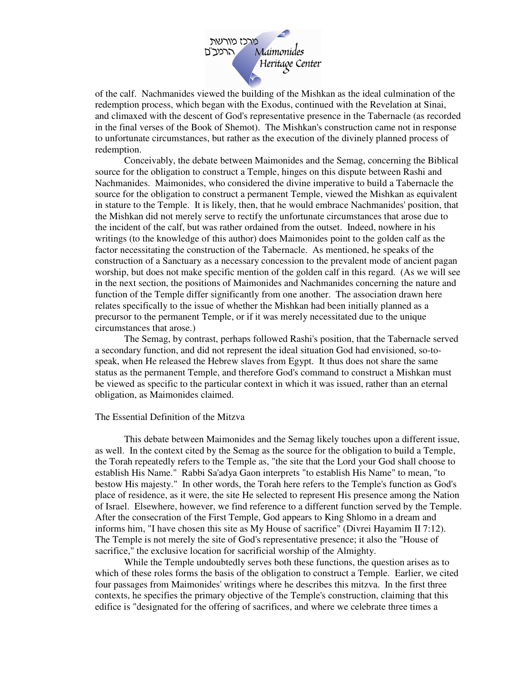

of the calf. Nachmanides viewed the building of the Mishkan as the ideal culmination of the redemption process, which began with the Exodus, continued with the Revelation at Sinai, and climaxed with the descent of God's representative presence in the Tabernacle (as recorded in the final verses of the Book of Shemot). The Mishkan's construction came not in response to unfortunate circumstances, but rather as the execution of the divinely planned process of redemption.

 Conceivably, the debate between Maimonides and the Semag, concerning the Biblical source for the obligation to construct a Temple, hinges on this dispute between Rashi and Nachmanides. Maimonides, who considered the divine imperative to build a Tabernacle the source for the obligation to construct a permanent Temple, viewed the Mishkan as equivalent in stature to the Temple. It is likely, then, that he would embrace Nachmanides' position, that the Mishkan did not merely serve to rectify the unfortunate circumstances that arose due to the incident of the calf, but was rather ordained from the outset. Indeed, nowhere in his writings (to the knowledge of this author) does Maimonides point to the golden calf as the factor necessitating the construction of the Tabernacle. As mentioned, he speaks of the construction of a Sanctuary as a necessary concession to the prevalent mode of ancient pagan worship, but does not make specific mention of the golden calf in this regard. (As we will see in the next section, the positions of Maimonides and Nachmanides concerning the nature and function of the Temple differ significantly from one another. The association drawn here relates specifically to the issue of whether the Mishkan had been initially planned as a precursor to the permanent Temple, or if it was merely necessitated due to the unique circumstances that arose.)

The Semag, by contrast, perhaps followed Rashi's position, that the Tabernacle served a secondary function, and did not represent the ideal situation God had envisioned, so-tospeak, when He released the Hebrew slaves from Egypt. It thus does not share the same status as the permanent Temple, and therefore God's command to construct a Mishkan must be viewed as specific to the particular context in which it was issued, rather than an eternal obligation, as Maimonides claimed.

## The Essential Definition of the Mitzva

 This debate between Maimonides and the Semag likely touches upon a different issue, as well. In the context cited by the Semag as the source for the obligation to build a Temple, the Torah repeatedly refers to the Temple as, "the site that the Lord your God shall choose to establish His Name." Rabbi Sa'adya Gaon interprets "to establish His Name" to mean, "to bestow His majesty." In other words, the Torah here refers to the Temple's function as God's place of residence, as it were, the site He selected to represent His presence among the Nation of Israel. Elsewhere, however, we find reference to a different function served by the Temple. After the consecration of the First Temple, God appears to King Shlomo in a dream and informs him, "I have chosen this site as My House of sacrifice" (Divrei Hayamim II 7:12). The Temple is not merely the site of God's representative presence; it also the "House of sacrifice," the exclusive location for sacrificial worship of the Almighty.

 While the Temple undoubtedly serves both these functions, the question arises as to which of these roles forms the basis of the obligation to construct a Temple. Earlier, we cited four passages from Maimonides' writings where he describes this mitzva. In the first three contexts, he specifies the primary objective of the Temple's construction, claiming that this edifice is "designated for the offering of sacrifices, and where we celebrate three times a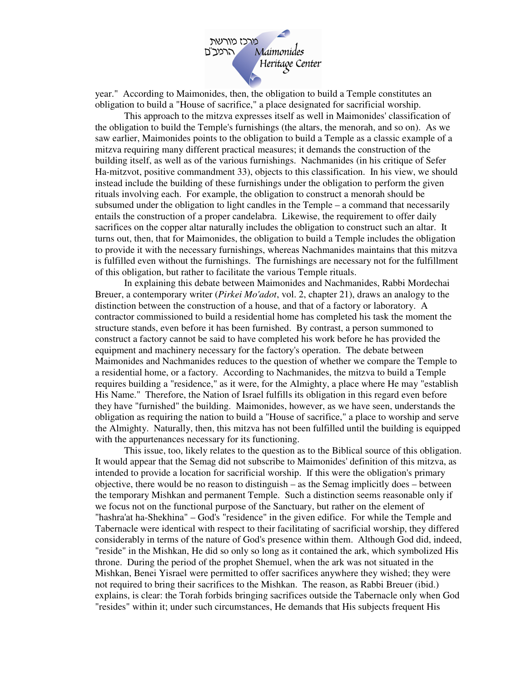

year." According to Maimonides, then, the obligation to build a Temple constitutes an obligation to build a "House of sacrifice," a place designated for sacrificial worship.

This approach to the mitzva expresses itself as well in Maimonides' classification of the obligation to build the Temple's furnishings (the altars, the menorah, and so on). As we saw earlier, Maimonides points to the obligation to build a Temple as a classic example of a mitzva requiring many different practical measures; it demands the construction of the building itself, as well as of the various furnishings. Nachmanides (in his critique of Sefer Ha-mitzvot, positive commandment 33), objects to this classification. In his view, we should instead include the building of these furnishings under the obligation to perform the given rituals involving each. For example, the obligation to construct a menorah should be subsumed under the obligation to light candles in the Temple – a command that necessarily entails the construction of a proper candelabra. Likewise, the requirement to offer daily sacrifices on the copper altar naturally includes the obligation to construct such an altar. It turns out, then, that for Maimonides, the obligation to build a Temple includes the obligation to provide it with the necessary furnishings, whereas Nachmanides maintains that this mitzva is fulfilled even without the furnishings. The furnishings are necessary not for the fulfillment of this obligation, but rather to facilitate the various Temple rituals.

In explaining this debate between Maimonides and Nachmanides, Rabbi Mordechai Breuer, a contemporary writer (*Pirkei Mo'adot*, vol. 2, chapter 21), draws an analogy to the distinction between the construction of a house, and that of a factory or laboratory. A contractor commissioned to build a residential home has completed his task the moment the structure stands, even before it has been furnished. By contrast, a person summoned to construct a factory cannot be said to have completed his work before he has provided the equipment and machinery necessary for the factory's operation. The debate between Maimonides and Nachmanides reduces to the question of whether we compare the Temple to a residential home, or a factory. According to Nachmanides, the mitzva to build a Temple requires building a "residence," as it were, for the Almighty, a place where He may "establish His Name." Therefore, the Nation of Israel fulfills its obligation in this regard even before they have "furnished" the building. Maimonides, however, as we have seen, understands the obligation as requiring the nation to build a "House of sacrifice," a place to worship and serve the Almighty. Naturally, then, this mitzva has not been fulfilled until the building is equipped with the appurtenances necessary for its functioning.

This issue, too, likely relates to the question as to the Biblical source of this obligation. It would appear that the Semag did not subscribe to Maimonides' definition of this mitzva, as intended to provide a location for sacrificial worship. If this were the obligation's primary objective, there would be no reason to distinguish – as the Semag implicitly does – between the temporary Mishkan and permanent Temple. Such a distinction seems reasonable only if we focus not on the functional purpose of the Sanctuary, but rather on the element of "hashra'at ha-Shekhina" – God's "residence" in the given edifice. For while the Temple and Tabernacle were identical with respect to their facilitating of sacrificial worship, they differed considerably in terms of the nature of God's presence within them. Although God did, indeed, "reside" in the Mishkan, He did so only so long as it contained the ark, which symbolized His throne. During the period of the prophet Shemuel, when the ark was not situated in the Mishkan, Benei Yisrael were permitted to offer sacrifices anywhere they wished; they were not required to bring their sacrifices to the Mishkan. The reason, as Rabbi Breuer (ibid.) explains, is clear: the Torah forbids bringing sacrifices outside the Tabernacle only when God "resides" within it; under such circumstances, He demands that His subjects frequent His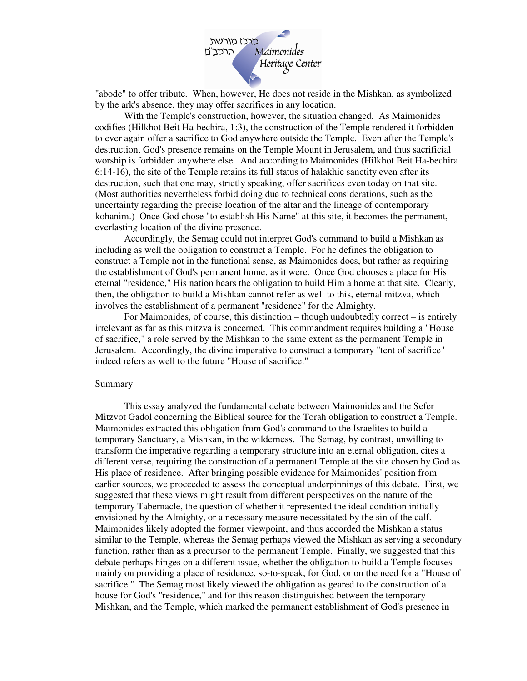

"abode" to offer tribute. When, however, He does not reside in the Mishkan, as symbolized by the ark's absence, they may offer sacrifices in any location.

With the Temple's construction, however, the situation changed. As Maimonides codifies (Hilkhot Beit Ha-bechira, 1:3), the construction of the Temple rendered it forbidden to ever again offer a sacrifice to God anywhere outside the Temple. Even after the Temple's destruction, God's presence remains on the Temple Mount in Jerusalem, and thus sacrificial worship is forbidden anywhere else. And according to Maimonides (Hilkhot Beit Ha-bechira 6:14-16), the site of the Temple retains its full status of halakhic sanctity even after its destruction, such that one may, strictly speaking, offer sacrifices even today on that site. (Most authorities nevertheless forbid doing due to technical considerations, such as the uncertainty regarding the precise location of the altar and the lineage of contemporary kohanim.) Once God chose "to establish His Name" at this site, it becomes the permanent, everlasting location of the divine presence.

Accordingly, the Semag could not interpret God's command to build a Mishkan as including as well the obligation to construct a Temple. For he defines the obligation to construct a Temple not in the functional sense, as Maimonides does, but rather as requiring the establishment of God's permanent home, as it were. Once God chooses a place for His eternal "residence," His nation bears the obligation to build Him a home at that site. Clearly, then, the obligation to build a Mishkan cannot refer as well to this, eternal mitzva, which involves the establishment of a permanent "residence" for the Almighty.

For Maimonides, of course, this distinction – though undoubtedly correct – is entirely irrelevant as far as this mitzva is concerned. This commandment requires building a "House of sacrifice," a role served by the Mishkan to the same extent as the permanent Temple in Jerusalem. Accordingly, the divine imperative to construct a temporary "tent of sacrifice" indeed refers as well to the future "House of sacrifice."

## Summary

 This essay analyzed the fundamental debate between Maimonides and the Sefer Mitzvot Gadol concerning the Biblical source for the Torah obligation to construct a Temple. Maimonides extracted this obligation from God's command to the Israelites to build a temporary Sanctuary, a Mishkan, in the wilderness. The Semag, by contrast, unwilling to transform the imperative regarding a temporary structure into an eternal obligation, cites a different verse, requiring the construction of a permanent Temple at the site chosen by God as His place of residence. After bringing possible evidence for Maimonides' position from earlier sources, we proceeded to assess the conceptual underpinnings of this debate. First, we suggested that these views might result from different perspectives on the nature of the temporary Tabernacle, the question of whether it represented the ideal condition initially envisioned by the Almighty, or a necessary measure necessitated by the sin of the calf. Maimonides likely adopted the former viewpoint, and thus accorded the Mishkan a status similar to the Temple, whereas the Semag perhaps viewed the Mishkan as serving a secondary function, rather than as a precursor to the permanent Temple. Finally, we suggested that this debate perhaps hinges on a different issue, whether the obligation to build a Temple focuses mainly on providing a place of residence, so-to-speak, for God, or on the need for a "House of sacrifice." The Semag most likely viewed the obligation as geared to the construction of a house for God's "residence," and for this reason distinguished between the temporary Mishkan, and the Temple, which marked the permanent establishment of God's presence in